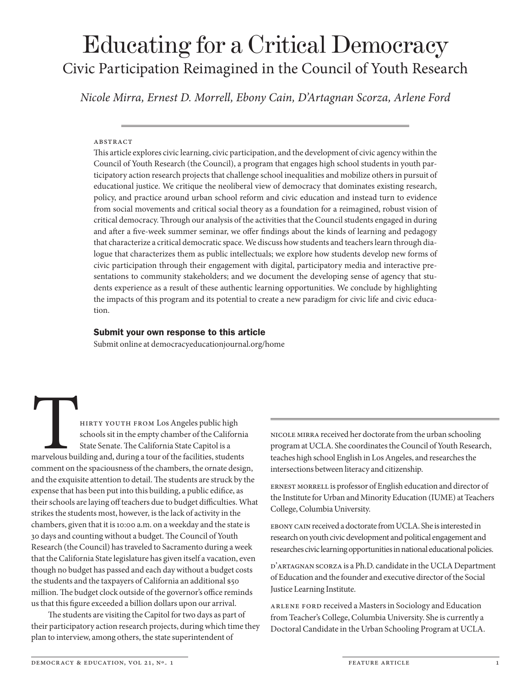# Educating for a Critical Democracy Civic Participation Reimagined in the Council of Youth Research

*Nicole Mirra, Ernest D. Morrell, Ebony Cain, D'Artagnan Scorza, Arlene Ford*

#### **ABSTRACT**

This article explores civic learning, civic participation, and the development of civic agency within the Council of Youth Research (the Council), a program that engages high school students in youth participatory action research projects that challenge school inequalities and mobilize others in pursuit of educational justice. We critique the neoliberal view of democracy that dominates existing research, policy, and practice around urban school reform and civic education and instead turn to evidence from social movements and critical social theory as a foundation for a reimagined, robust vision of critical democracy. Through our analysis of the activities that the Council students engaged in during and after a five-week summer seminar, we offer findings about the kinds of learning and pedagogy that characterize a critical democratic space. We discuss how students and teachers learn through dialogue that characterizes them as public intellectuals; we explore how students develop new forms of civic participation through their engagement with digital, participatory media and interactive presentations to community stakeholders; and we document the developing sense of agency that students experience as a result of these authentic learning opportunities. We conclude by highlighting the impacts of this program and its potential to create a new paradigm for civic life and civic education.

#### Submit your own response to this article

Submit online at democracyeducationjournal.org/home

HIRTY YOUTH FROM Los Angeles public high<br>schools sit in the empty chamber of the Californ<br>State Senate. The California State Capitol is a<br>marvelous building and, during a tour of the facilities, student<br>comment on the spac schools sit in the empty chamber of the California State Senate. The California State Capitol is a marvelous building and, during a tour of the facilities, students comment on the spaciousness of the chambers, the ornate design, and the exquisite attention to detail. The students are struck by the expense that has been put into this building, a public edifice, as their schools are laying off teachers due to budget difficulties. What strikes the students most, however, is the lack of activity in the chambers, given that it is 10:00 a.m. on a weekday and the state is 30 days and counting without a budget. The Council of Youth Research (the Council) has traveled to Sacramento during a week that the California State legislature has given itself a vacation, even though no budget has passed and each day without a budget costs the students and the taxpayers of California an additional \$50 million. The budget clock outside of the governor's office reminds us that this figure exceeded a billion dollars upon our arrival.

The students are visiting the Capitol for two days as part of their participatory action research projects, during which time they plan to interview, among others, the state superintendent of

Nicole Mirra received her doctorate from the urban schooling program at UCLA. She coordinates the Council of Youth Research, teaches high school English in Los Angeles, and researches the intersections between literacy and citizenship.

ERNEST MORRELL is professor of English education and director of the Institute for Urban and Minority Education (IUME) at Teachers College, Columbia University.

Ebony Cain received a doctorate from UCLA. She is interested in research on youth civic development and political engagement and researches civic learning opportunities in national educational policies.

D'Artagnan Scorza is a Ph.D. candidate in the UCLA Department of Education and the founder and executive director of the Social Justice Learning Institute.

Arlene Ford received a Masters in Sociology and Education from Teacher's College, Columbia University. She is currently a Doctoral Candidate in the Urban Schooling Program at UCLA.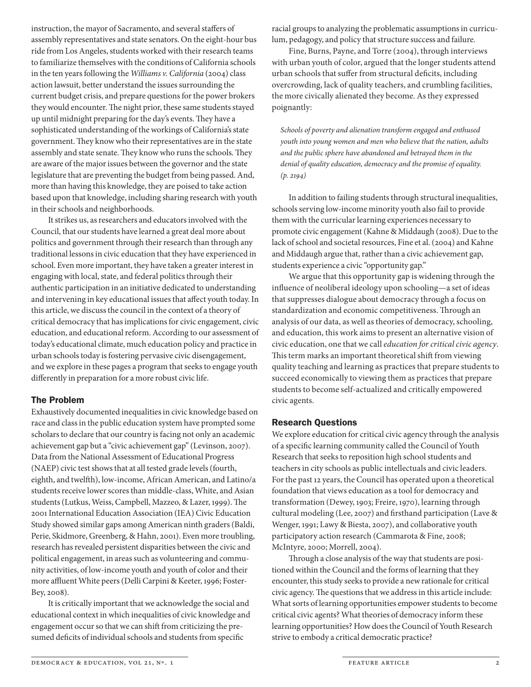instruction, the mayor of Sacramento, and several staffers of assembly representatives and state senators. On the eight-hour bus ride from Los Angeles, students worked with their research teams to familiarize themselves with the conditions of California schools in the ten years following the *Williams v. California* (2004) class action lawsuit, better understand the issues surrounding the current budget crisis, and prepare questions for the power brokers they would encounter. The night prior, these same students stayed up until midnight preparing for the day's events. They have a sophisticated understanding of the workings of California's state government. They know who their representatives are in the state assembly and state senate. They know who runs the schools. They are aware of the major issues between the governor and the state legislature that are preventing the budget from being passed. And, more than having this knowledge, they are poised to take action based upon that knowledge, including sharing research with youth in their schools and neighborhoods.

It strikes us, as researchers and educators involved with the Council, that our students have learned a great deal more about politics and government through their research than through any traditional lessons in civic education that they have experienced in school. Even more important, they have taken a greater interest in engaging with local, state, and federal politics through their authentic participation in an initiative dedicated to understanding and intervening in key educational issues that affect youth today. In this article, we discuss the council in the context of a theory of critical democracy that has implications for civic engagement, civic education, and educational reform. According to our assessment of today's educational climate, much education policy and practice in urban schools today is fostering pervasive civic disengagement, and we explore in these pages a program that seeks to engage youth differently in preparation for a more robust civic life.

# The Problem

Exhaustively documented inequalities in civic knowledge based on race and class in the public education system have prompted some scholars to declare that our country is facing not only an academic achievement gap but a "civic achievement gap" (Levinson, 2007). Data from the National Assessment of Educational Progress (NAEP) civic test shows that at all tested grade levels (fourth, eighth, and twelfth), low-income, African American, and Latino/a students receive lower scores than middle-class, White, and Asian students (Lutkus, Weiss, Campbell, Mazzeo, & Lazer, 1999). The 2001 International Education Association (IEA) Civic Education Study showed similar gaps among American ninth graders (Baldi, Perie, Skidmore, Greenberg, & Hahn, 2001). Even more troubling, research has revealed persistent disparities between the civic and political engagement, in areas such as volunteering and community activities, of low-income youth and youth of color and their more affluent White peers (Delli Carpini & Keeter, 1996; Foster-Bey, 2008).

It is critically important that we acknowledge the social and educational context in which inequalities of civic knowledge and engagement occur so that we can shift from criticizing the presumed deficits of individual schools and students from specific

racial groups to analyzing the problematic assumptions in curriculum, pedagogy, and policy that structure success and failure.

Fine, Burns, Payne, and Torre (2004), through interviews with urban youth of color, argued that the longer students attend urban schools that suffer from structural deficits, including overcrowding, lack of quality teachers, and crumbling facilities, the more civically alienated they become. As they expressed poignantly:

*Schools of poverty and alienation transform engaged and enthused youth into young women and men who believe that the nation, adults and the public sphere have abandoned and betrayed them in the denial of quality education, democracy and the promise of equality. (p. 2194)*

In addition to failing students through structural inequalities, schools serving low-income minority youth also fail to provide them with the curricular learning experiences necessary to promote civic engagement (Kahne & Middaugh (2008). Due to the lack of school and societal resources, Fine et al. (2004) and Kahne and Middaugh argue that, rather than a civic achievement gap, students experience a civic "opportunity gap."

We argue that this opportunity gap is widening through the influence of neoliberal ideology upon schooling—a set of ideas that suppresses dialogue about democracy through a focus on standardization and economic competitiveness. Through an analysis of our data, as well as theories of democracy, schooling, and education, this work aims to present an alternative vision of civic education, one that we call *education for critical civic agency*. This term marks an important theoretical shift from viewing quality teaching and learning as practices that prepare students to succeed economically to viewing them as practices that prepare students to become self-actualized and critically empowered civic agents.

# Research Questions

We explore education for critical civic agency through the analysis of a specific learning community called the Council of Youth Research that seeks to reposition high school students and teachers in city schools as public intellectuals and civic leaders. For the past 12 years, the Council has operated upon a theoretical foundation that views education as a tool for democracy and transformation (Dewey, 1903; Freire, 1970), learning through cultural modeling (Lee, 2007) and firsthand participation (Lave & Wenger, 1991; Lawy & Biesta, 2007), and collaborative youth participatory action research (Cammarota & Fine, 2008; McIntyre, 2000; Morrell, 2004).

Through a close analysis of the way that students are positioned within the Council and the forms of learning that they encounter, this study seeks to provide a new rationale for critical civic agency. The questions that we address in this article include: What sorts of learning opportunities empower students to become critical civic agents? What theories of democracy inform these learning opportunities? How does the Council of Youth Research strive to embody a critical democratic practice?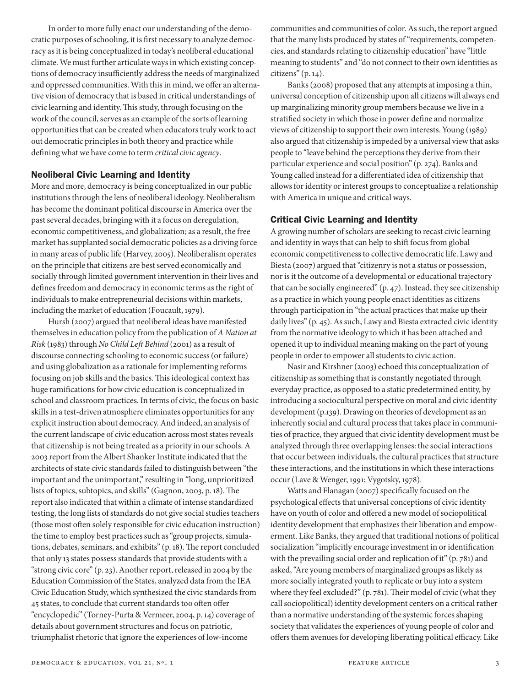In order to more fully enact our understanding of the democratic purposes of schooling, it is first necessary to analyze democracy as it is being conceptualized in today's neoliberal educational climate. We must further articulate ways in which existing conceptions of democracy insufficiently address the needs of marginalized and oppressed communities. With this in mind, we offer an alternative vision of democracy that is based in critical understandings of civic learning and identity. This study, through focusing on the work of the council, serves as an example of the sorts of learning opportunities that can be created when educators truly work to act out democratic principles in both theory and practice while defining what we have come to term *critical civic agency*.

## Neoliberal Civic Learning and Identity

More and more, democracy is being conceptualized in our public institutions through the lens of neoliberal ideology. Neoliberalism has become the dominant political discourse in America over the past several decades, bringing with it a focus on deregulation, economic competitiveness, and globalization; as a result, the free market has supplanted social democratic policies as a driving force in many areas of public life (Harvey, 2005). Neoliberalism operates on the principle that citizens are best served economically and socially through limited government intervention in their lives and defines freedom and democracy in economic terms as the right of individuals to make entrepreneurial decisions within markets, including the market of education (Foucault, 1979).

Hursh (2007) argued that neoliberal ideas have manifested themselves in education policy from the publication of *A Nation at Risk* (1983) through *No Child Left Behind* (2001) as a result of discourse connecting schooling to economic success (or failure) and using globalization as a rationale for implementing reforms focusing on job skills and the basics. This ideological context has huge ramifications for how civic education is conceptualized in school and classroom practices. In terms of civic, the focus on basic skills in a test-driven atmosphere eliminates opportunities for any explicit instruction about democracy. And indeed, an analysis of the current landscape of civic education across most states reveals that citizenship is not being treated as a priority in our schools. A 2003 report from the Albert Shanker Institute indicated that the architects of state civic standards failed to distinguish between "the important and the unimportant," resulting in "long, unprioritized lists of topics, subtopics, and skills" (Gagnon, 2003, p. 18). The report also indicated that within a climate of intense standardized testing, the long lists of standards do not give social studies teachers (those most often solely responsible for civic education instruction) the time to employ best practices such as "group projects, simulations, debates, seminars, and exhibits" (p. 18). The report concluded that only 13 states possess standards that provide students with a "strong civic core" (p. 23). Another report, released in 2004 by the Education Commission of the States, analyzed data from the IEA Civic Education Study, which synthesized the civic standards from 45 states, to conclude that current standards too often offer "encyclopedic" (Torney-Purta & Vermeer, 2004, p. 14) coverage of details about government structures and focus on patriotic, triumphalist rhetoric that ignore the experiences of low-income

communities and communities of color. As such, the report argued that the many lists produced by states of "requirements, competencies, and standards relating to citizenship education" have "little meaning to students" and "do not connect to their own identities as citizens" (p. 14).

Banks (2008) proposed that any attempts at imposing a thin, universal conception of citizenship upon all citizens will always end up marginalizing minority group members because we live in a stratified society in which those in power define and normalize views of citizenship to support their own interests. Young (1989) also argued that citizenship is impeded by a universal view that asks people to "leave behind the perceptions they derive from their particular experience and social position" (p. 274). Banks and Young called instead for a differentiated idea of citizenship that allows for identity or interest groups to conceptualize a relationship with America in unique and critical ways.

## Critical Civic Learning and Identity

A growing number of scholars are seeking to recast civic learning and identity in ways that can help to shift focus from global economic competitiveness to collective democratic life. Lawy and Biesta (2007) argued that "citizenry is not a status or possession, nor is it the outcome of a developmental or educational trajectory that can be socially engineered" (p. 47). Instead, they see citizenship as a practice in which young people enact identities as citizens through participation in "the actual practices that make up their daily lives" (p. 45). As such, Lawy and Biesta extracted civic identity from the normative ideology to which it has been attached and opened it up to individual meaning making on the part of young people in order to empower all students to civic action.

Nasir and Kirshner (2003) echoed this conceptualization of citizenship as something that is constantly negotiated through everyday practice, as opposed to a static predetermined entity, by introducing a sociocultural perspective on moral and civic identity development (p.139). Drawing on theories of development as an inherently social and cultural process that takes place in communities of practice, they argued that civic identity development must be analyzed through three overlapping lenses: the social interactions that occur between individuals, the cultural practices that structure these interactions, and the institutions in which these interactions occur (Lave & Wenger, 1991; Vygotsky, 1978).

Watts and Flanagan (2007) specifically focused on the psychological effects that universal conceptions of civic identity have on youth of color and offered a new model of sociopolitical identity development that emphasizes their liberation and empowerment. Like Banks, they argued that traditional notions of political socialization "implicitly encourage investment in or identification with the prevailing social order and replication of it" (p. 781) and asked, "Are young members of marginalized groups as likely as more socially integrated youth to replicate or buy into a system where they feel excluded?" (p. 781). Their model of civic (what they call sociopolitical) identity development centers on a critical rather than a normative understanding of the systemic forces shaping society that validates the experiences of young people of color and offers them avenues for developing liberating political efficacy. Like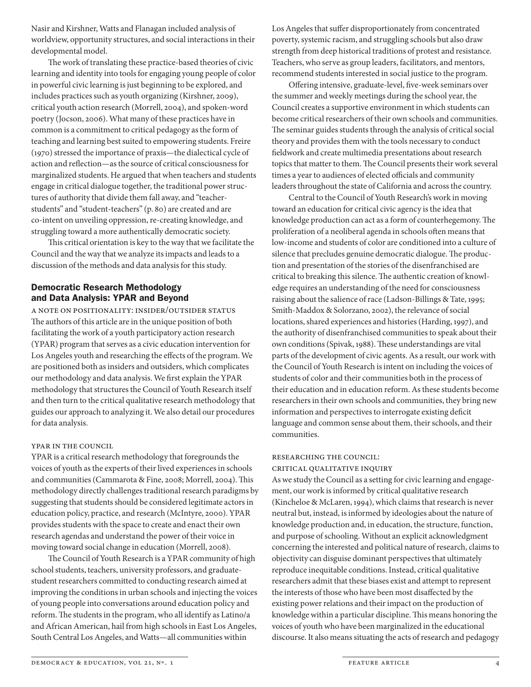Nasir and Kirshner, Watts and Flanagan included analysis of worldview, opportunity structures, and social interactions in their developmental model.

The work of translating these practice-based theories of civic learning and identity into tools for engaging young people of color in powerful civic learning is just beginning to be explored, and includes practices such as youth organizing (Kirshner, 2009), critical youth action research (Morrell, 2004), and spoken-word poetry (Jocson, 2006). What many of these practices have in common is a commitment to critical pedagogy as the form of teaching and learning best suited to empowering students. Freire (1970) stressed the importance of praxis—the dialectical cycle of action and reflection—as the source of critical consciousness for marginalized students. He argued that when teachers and students engage in critical dialogue together, the traditional power structures of authority that divide them fall away, and "teacherstudents" and "student-teachers" (p. 80) are created and are co-intent on unveiling oppression, re-creating knowledge, and struggling toward a more authentically democratic society.

This critical orientation is key to the way that we facilitate the Council and the way that we analyze its impacts and leads to a discussion of the methods and data analysis for this study.

# Democratic Research Methodology and Data Analysis: YPAR and Beyond

A Note on Positionality: Insider/Outsider Status The authors of this article are in the unique position of both facilitating the work of a youth participatory action research (YPAR) program that serves as a civic education intervention for Los Angeles youth and researching the effects of the program. We are positioned both as insiders and outsiders, which complicates our methodology and data analysis. We first explain the YPAR methodology that structures the Council of Youth Research itself and then turn to the critical qualitative research methodology that guides our approach to analyzing it. We also detail our procedures for data analysis.

## YPAR IN THE COUNCIL

YPAR is a critical research methodology that foregrounds the voices of youth as the experts of their lived experiences in schools and communities (Cammarota & Fine, 2008; Morrell, 2004). This methodology directly challenges traditional research paradigms by suggesting that students should be considered legitimate actors in education policy, practice, and research (McIntyre, 2000). YPAR provides students with the space to create and enact their own research agendas and understand the power of their voice in moving toward social change in education (Morrell, 2008).

The Council of Youth Research is a YPAR community of high school students, teachers, university professors, and graduatestudent researchers committed to conducting research aimed at improving the conditions in urban schools and injecting the voices of young people into conversations around education policy and reform. The students in the program, who all identify as Latino/a and African American, hail from high schools in East Los Angeles, South Central Los Angeles, and Watts—all communities within

Los Angeles that suffer disproportionately from concentrated poverty, systemic racism, and struggling schools but also draw strength from deep historical traditions of protest and resistance. Teachers, who serve as group leaders, facilitators, and mentors, recommend students interested in social justice to the program.

Offering intensive, graduate-level, five-week seminars over the summer and weekly meetings during the school year, the Council creates a supportive environment in which students can become critical researchers of their own schools and communities. The seminar guides students through the analysis of critical social theory and provides them with the tools necessary to conduct fieldwork and create multimedia presentations about research topics that matter to them. The Council presents their work several times a year to audiences of elected officials and community leaders throughout the state of California and across the country.

Central to the Council of Youth Research's work in moving toward an education for critical civic agency is the idea that knowledge production can act as a form of counterhegemony. The proliferation of a neoliberal agenda in schools often means that low-income and students of color are conditioned into a culture of silence that precludes genuine democratic dialogue. The production and presentation of the stories of the disenfranchised are critical to breaking this silence. The authentic creation of knowledge requires an understanding of the need for consciousness raising about the salience of race (Ladson-Billings & Tate, 1995; Smith-Maddox & Solorzano, 2002), the relevance of social locations, shared experiences and histories (Harding, 1997), and the authority of disenfranchised communities to speak about their own conditions (Spivak, 1988). These understandings are vital parts of the development of civic agents. As a result, our work with the Council of Youth Research is intent on including the voices of students of color and their communities both in the process of their education and in education reform. As these students become researchers in their own schools and communities, they bring new information and perspectives to interrogate existing deficit language and common sense about them, their schools, and their communities.

# Researching the Council:

Critical Qualitative Inquiry

As we study the Council as a setting for civic learning and engagement, our work is informed by critical qualitative research (Kincheloe & McLaren, 1994), which claims that research is never neutral but, instead, is informed by ideologies about the nature of knowledge production and, in education, the structure, function, and purpose of schooling. Without an explicit acknowledgment concerning the interested and political nature of research, claims to objectivity can disguise dominant perspectives that ultimately reproduce inequitable conditions. Instead, critical qualitative researchers admit that these biases exist and attempt to represent the interests of those who have been most disaffected by the existing power relations and their impact on the production of knowledge within a particular discipline. This means honoring the voices of youth who have been marginalized in the educational discourse. It also means situating the acts of research and pedagogy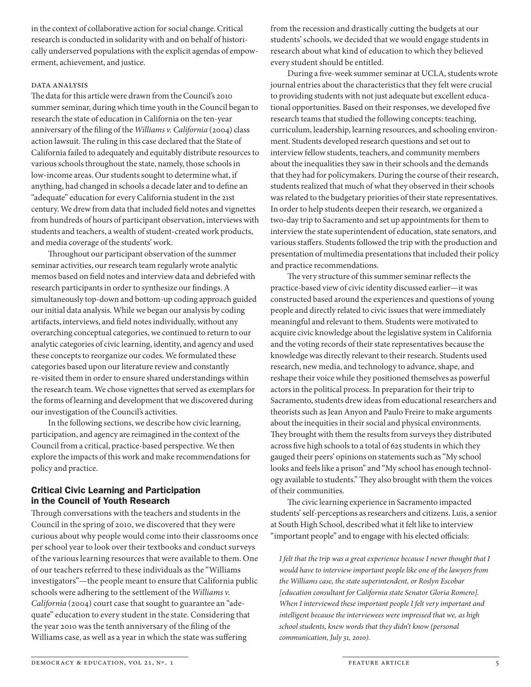in the context of collaborative action for social change. Critical research is conducted in solidarity with and on behalf of historically underserved populations with the explicit agendas of empowerment, achievement, and justice.

## DATA ANALYSIS

The data for this article were drawn from the Council's 2010 summer seminar, during which time youth in the Council began to research the state of education in California on the ten-year anniversary of the filing of the *Williams v. California* (2004) class action lawsuit. The ruling in this case declared that the State of California failed to adequately and equitably distribute resources to various schools throughout the state, namely, those schools in low-income areas. Our students sought to determine what, if anything, had changed in schools a decade later and to define an "adequate" education for every California student in the 21st century. We drew from data that included field notes and vignettes from hundreds of hours of participant observation, interviews with students and teachers, a wealth of student-created work products, and media coverage of the students' work.

Throughout our participant observation of the summer seminar activities, our research team regularly wrote analytic memos based on field notes and interview data and debriefed with research participants in order to synthesize our findings. A simultaneously top-down and bottom-up coding approach guided our initial data analysis. While we began our analysis by coding artifacts, interviews, and field notes individually, without any overarching conceptual categories, we continued to return to our analytic categories of civic learning, identity, and agency and used these concepts to reorganize our codes. We formulated these categories based upon our literature review and constantly re-visited them in order to ensure shared understandings within the research team. We chose vignettes that served as exemplars for the forms of learning and development that we discovered during our investigation of the Council's activities.

In the following sections, we describe how civic learning, participation, and agency are reimagined in the context of the Council from a critical, practice-based perspective. We then explore the impacts of this work and make recommendations for policy and practice.

## Critical Civic Learning and Participation in the Council of Youth Research

Through conversations with the teachers and students in the Council in the spring of 2010, we discovered that they were curious about why people would come into their classrooms once per school year to look over their textbooks and conduct surveys of the various learning resources that were available to them. One of our teachers referred to these individuals as the "Williams investigators"—the people meant to ensure that California public schools were adhering to the settlement of the *Williams v. California* (2004) court case that sought to guarantee an "adequate" education to every student in the state. Considering that the year 2010 was the tenth anniversary of the filing of the Williams case, as well as a year in which the state was suffering

from the recession and drastically cutting the budgets at our students' schools, we decided that we would engage students in research about what kind of education to which they believed every student should be entitled.

During a five-week summer seminar at UCLA, students wrote journal entries about the characteristics that they felt were crucial to providing students with not just adequate but excellent educational opportunities. Based on their responses, we developed five research teams that studied the following concepts: teaching, curriculum, leadership, learning resources, and schooling environment. Students developed research questions and set out to interview fellow students, teachers, and community members about the inequalities they saw in their schools and the demands that they had for policymakers. During the course of their research, students realized that much of what they observed in their schools was related to the budgetary priorities of their state representatives. In order to help students deepen their research, we organized a two-day trip to Sacramento and set up appointments for them to interview the state superintendent of education, state senators, and various staffers. Students followed the trip with the production and presentation of multimedia presentations that included their policy and practice recommendations.

The very structure of this summer seminar reflects the practice-based view of civic identity discussed earlier—it was constructed based around the experiences and questions of young people and directly related to civic issues that were immediately meaningful and relevant to them. Students were motivated to acquire civic knowledge about the legislative system in California and the voting records of their state representatives because the knowledge was directly relevant to their research. Students used research, new media, and technology to advance, shape, and reshape their voice while they positioned themselves as powerful actors in the political process. In preparation for their trip to Sacramento, students drew ideas from educational researchers and theorists such as Jean Anyon and Paulo Freire to make arguments about the inequities in their social and physical environments. They brought with them the results from surveys they distributed across five high schools to a total of 625 students in which they gauged their peers' opinions on statements such as "My school looks and feels like a prison" and "My school has enough technology available to students." They also brought with them the voices of their communities.

The civic learning experience in Sacramento impacted students' self-perceptions as researchers and citizens. Luis, a senior at South High School, described what it felt like to interview "important people" and to engage with his elected officials:

*I felt that the trip was a great experience because I never thought that I would have to interview important people like one of the lawyers from the Williams case, the state superintendent, or Roslyn Escobar [education consultant for California state Senator Gloria Romero]. When I interviewed these important people I felt very important and intelligent because the interviewees were impressed that we, as high school students, knew words that they didn't know (personal communication, July 31, 2010).*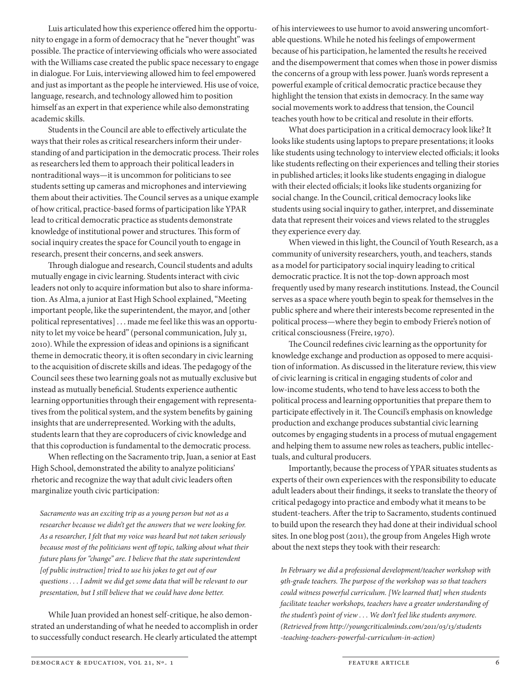Luis articulated how this experience offered him the opportunity to engage in a form of democracy that he "never thought" was possible. The practice of interviewing officials who were associated with the Williams case created the public space necessary to engage in dialogue. For Luis, interviewing allowed him to feel empowered and just as important as the people he interviewed. His use of voice, language, research, and technology allowed him to position himself as an expert in that experience while also demonstrating academic skills.

Students in the Council are able to effectively articulate the ways that their roles as critical researchers inform their understanding of and participation in the democratic process. Their roles as researchers led them to approach their political leaders in nontraditional ways—it is uncommon for politicians to see students setting up cameras and microphones and interviewing them about their activities. The Council serves as a unique example of how critical, practice-based forms of participation like YPAR lead to critical democratic practice as students demonstrate knowledge of institutional power and structures. This form of social inquiry creates the space for Council youth to engage in research, present their concerns, and seek answers.

Through dialogue and research, Council students and adults mutually engage in civic learning. Students interact with civic leaders not only to acquire information but also to share information. As Alma, a junior at East High School explained, "Meeting important people, like the superintendent, the mayor, and [other political representatives] . . . made me feel like this was an opportunity to let my voice be heard" (personal communication, July 31, 2010). While the expression of ideas and opinions is a significant theme in democratic theory, it is often secondary in civic learning to the acquisition of discrete skills and ideas. The pedagogy of the Council sees these two learning goals not as mutually exclusive but instead as mutually beneficial. Students experience authentic learning opportunities through their engagement with representatives from the political system, and the system benefits by gaining insights that are underrepresented. Working with the adults, students learn that they are coproducers of civic knowledge and that this coproduction is fundamental to the democratic process.

When reflecting on the Sacramento trip, Juan, a senior at East High School, demonstrated the ability to analyze politicians' rhetoric and recognize the way that adult civic leaders often marginalize youth civic participation:

*Sacramento was an exciting trip as a young person but not as a researcher because we didn't get the answers that we were looking for. As a researcher, I felt that my voice was heard but not taken seriously because most of the politicians went off topic, talking about what their future plans for "change" are. I believe that the state superintendent [of public instruction] tried to use his jokes to get out of our questions . . . I admit we did get some data that will be relevant to our presentation, but I still believe that we could have done better.*

While Juan provided an honest self-critique, he also demonstrated an understanding of what he needed to accomplish in order to successfully conduct research. He clearly articulated the attempt of his interviewees to use humor to avoid answering uncomfortable questions. While he noted his feelings of empowerment because of his participation, he lamented the results he received and the disempowerment that comes when those in power dismiss the concerns of a group with less power. Juan's words represent a powerful example of critical democratic practice because they highlight the tension that exists in democracy. In the same way social movements work to address that tension, the Council teaches youth how to be critical and resolute in their efforts.

What does participation in a critical democracy look like? It looks like students using laptops to prepare presentations; it looks like students using technology to interview elected officials; it looks like students reflecting on their experiences and telling their stories in published articles; it looks like students engaging in dialogue with their elected officials; it looks like students organizing for social change. In the Council, critical democracy looks like students using social inquiry to gather, interpret, and disseminate data that represent their voices and views related to the struggles they experience every day.

When viewed in this light, the Council of Youth Research, as a community of university researchers, youth, and teachers, stands as a model for participatory social inquiry leading to critical democratic practice. It is not the top-down approach most frequently used by many research institutions. Instead, the Council serves as a space where youth begin to speak for themselves in the public sphere and where their interests become represented in the political process—where they begin to embody Friere's notion of critical consciousness (Freire, 1970).

The Council redefines civic learning as the opportunity for knowledge exchange and production as opposed to mere acquisition of information. As discussed in the literature review, this view of civic learning is critical in engaging students of color and low-income students, who tend to have less access to both the political process and learning opportunities that prepare them to participate effectively in it. The Council's emphasis on knowledge production and exchange produces substantial civic learning outcomes by engaging students in a process of mutual engagement and helping them to assume new roles as teachers, public intellectuals, and cultural producers.

Importantly, because the process of YPAR situates students as experts of their own experiences with the responsibility to educate adult leaders about their findings, it seeks to translate the theory of critical pedagogy into practice and embody what it means to be student-teachers. After the trip to Sacramento, students continued to build upon the research they had done at their individual school sites. In one blog post (2011), the group from Angeles High wrote about the next steps they took with their research:

*In February we did a professional development/teacher workshop with 9th-grade teachers. The purpose of the workshop was so that teachers could witness powerful curriculum. [We learned that] when students facilitate teacher workshops, teachers have a greater understanding of the student's point of view . . . We don't feel like students anymore. (Retrieved from http://youngcriticalminds.com/2011/03/13/students -teaching-teachers-powerful-curriculum-in-action)*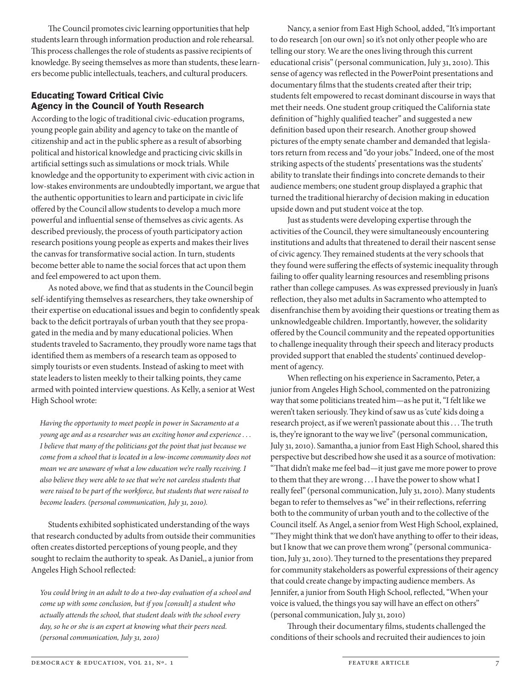The Council promotes civic learning opportunities that help students learn through information production and role rehearsal. This process challenges the role of students as passive recipients of knowledge. By seeing themselves as more than students, these learners become public intellectuals, teachers, and cultural producers.

# Educating Toward Critical Civic Agency in the Council of Youth Research

According to the logic of traditional civic-education programs, young people gain ability and agency to take on the mantle of citizenship and act in the public sphere as a result of absorbing political and historical knowledge and practicing civic skills in artificial settings such as simulations or mock trials. While knowledge and the opportunity to experiment with civic action in low-stakes environments are undoubtedly important, we argue that the authentic opportunities to learn and participate in civic life offered by the Council allow students to develop a much more powerful and influential sense of themselves as civic agents. As described previously, the process of youth participatory action research positions young people as experts and makes their lives the canvas for transformative social action. In turn, students become better able to name the social forces that act upon them and feel empowered to act upon them.

As noted above, we find that as students in the Council begin self-identifying themselves as researchers, they take ownership of their expertise on educational issues and begin to confidently speak back to the deficit portrayals of urban youth that they see propagated in the media and by many educational policies. When students traveled to Sacramento, they proudly wore name tags that identified them as members of a research team as opposed to simply tourists or even students. Instead of asking to meet with state leaders to listen meekly to their talking points, they came armed with pointed interview questions. As Kelly, a senior at West High School wrote:

*Having the opportunity to meet people in power in Sacramento at a young age and as a researcher was an exciting honor and experience . . . I believe that many of the politicians got the point that just because we come from a school that is located in a low-income community does not mean we are unaware of what a low education we're really receiving. I also believe they were able to see that we're not careless students that were raised to be part of the workforce, but students that were raised to become leaders. (personal communication, July 31, 2010).*

Students exhibited sophisticated understanding of the ways that research conducted by adults from outside their communities often creates distorted perceptions of young people, and they sought to reclaim the authority to speak. As Daniel,, a junior from Angeles High School reflected:

*You could bring in an adult to do a two-day evaluation of a school and come up with some conclusion, but if you [consult] a student who actually attends the school, that student deals with the school every day, so he or she is an expert at knowing what their peers need. (personal communication, July 31, 2010)*

Nancy, a senior from East High School, added, "It's important to do research [on our own] so it's not only other people who are telling our story. We are the ones living through this current educational crisis" (personal communication, July 31, 2010). This sense of agency was reflected in the PowerPoint presentations and documentary films that the students created after their trip; students felt empowered to recast dominant discourse in ways that met their needs. One student group critiqued the California state definition of "highly qualified teacher" and suggested a new definition based upon their research. Another group showed pictures of the empty senate chamber and demanded that legislators return from recess and "do your jobs." Indeed, one of the most striking aspects of the students' presentations was the students' ability to translate their findings into concrete demands to their audience members; one student group displayed a graphic that turned the traditional hierarchy of decision making in education upside down and put student voice at the top.

Just as students were developing expertise through the activities of the Council, they were simultaneously encountering institutions and adults that threatened to derail their nascent sense of civic agency. They remained students at the very schools that they found were suffering the effects of systemic inequality through failing to offer quality learning resources and resembling prisons rather than college campuses. As was expressed previously in Juan's reflection, they also met adults in Sacramento who attempted to disenfranchise them by avoiding their questions or treating them as unknowledgeable children. Importantly, however, the solidarity offered by the Council community and the repeated opportunities to challenge inequality through their speech and literacy products provided support that enabled the students' continued development of agency.

When reflecting on his experience in Sacramento, Peter, a junior from Angeles High School, commented on the patronizing way that some politicians treated him—as he put it, "I felt like we weren't taken seriously. They kind of saw us as 'cute' kids doing a research project, as if we weren't passionate about this . . . The truth is, they're ignorant to the way we live" (personal communication, July 31, 2010). Samantha, a junior from East High School, shared this perspective but described how she used it as a source of motivation: "That didn't make me feel bad—it just gave me more power to prove to them that they are wrong . . . I have the power to show what I really feel" (personal communication, July 31, 2010). Many students began to refer to themselves as "we" in their reflections, referring both to the community of urban youth and to the collective of the Council itself. As Angel, a senior from West High School, explained, "They might think that we don't have anything to offer to their ideas, but I know that we can prove them wrong" (personal communication, July 31, 2010). They turned to the presentations they prepared for community stakeholders as powerful expressions of their agency that could create change by impacting audience members. As Jennifer, a junior from South High School, reflected, "When your voice is valued, the things you say will have an effect on others" (personal communication, July 31, 2010)

Through their documentary films, students challenged the conditions of their schools and recruited their audiences to join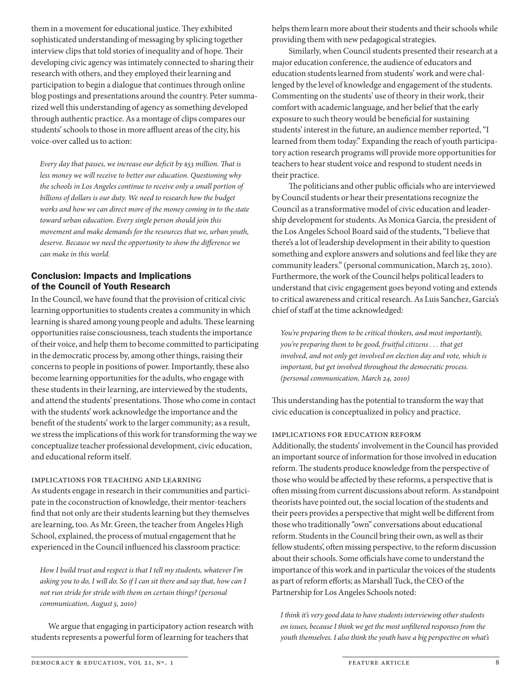them in a movement for educational justice. They exhibited sophisticated understanding of messaging by splicing together interview clips that told stories of inequality and of hope. Their developing civic agency was intimately connected to sharing their research with others, and they employed their learning and participation to begin a dialogue that continues through online blog postings and presentations around the country. Peter summarized well this understanding of agency as something developed through authentic practice. As a montage of clips compares our students' schools to those in more affluent areas of the city, his voice-over called us to action:

*Every day that passes, we increase our deficit by \$53 million. That is less money we will receive to better our education. Questioning why the schools in Los Angeles continue to receive only a small portion of billions of dollars is our duty. We need to research how the budget works and how we can direct more of the money coming in to the state toward urban education. Every single person should join this movement and make demands for the resources that we, urban youth, deserve. Because we need the opportunity to show the difference we can make in this world.*

## Conclusion: Impacts and Implications of the Council of Youth Research

In the Council, we have found that the provision of critical civic learning opportunities to students creates a community in which learning is shared among young people and adults. These learning opportunities raise consciousness, teach students the importance of their voice, and help them to become committed to participating in the democratic process by, among other things, raising their concerns to people in positions of power. Importantly, these also become learning opportunities for the adults, who engage with these students in their learning, are interviewed by the students, and attend the students' presentations. Those who come in contact with the students' work acknowledge the importance and the benefit of the students' work to the larger community; as a result, we stress the implications of this work for transforming the way we conceptualize teacher professional development, civic education, and educational reform itself.

#### Implications for Teaching and Learning

As students engage in research in their communities and participate in the coconstruction of knowledge, their mentor-teachers find that not only are their students learning but they themselves are learning, too. As Mr. Green, the teacher from Angeles High School, explained, the process of mutual engagement that he experienced in the Council influenced his classroom practice:

*How I build trust and respect is that I tell my students, whatever I'm asking you to do, I will do. So if I can sit there and say that, how can I not run stride for stride with them on certain things? (personal communication, August 5, 2010)*

We argue that engaging in participatory action research with students represents a powerful form of learning for teachers that

helps them learn more about their students and their schools while providing them with new pedagogical strategies.

Similarly, when Council students presented their research at a major education conference, the audience of educators and education students learned from students' work and were challenged by the level of knowledge and engagement of the students. Commenting on the students' use of theory in their work, their comfort with academic language, and her belief that the early exposure to such theory would be beneficial for sustaining students' interest in the future, an audience member reported, "I learned from them today." Expanding the reach of youth participatory action research programs will provide more opportunities for teachers to hear student voice and respond to student needs in their practice.

The politicians and other public officials who are interviewed by Council students or hear their presentations recognize the Council as a transformative model of civic education and leadership development for students. As Monica Garcia, the president of the Los Angeles School Board said of the students, "I believe that there's a lot of leadership development in their ability to question something and explore answers and solutions and feel like they are community leaders." (personal communication, March 25, 2010). Furthermore, the work of the Council helps political leaders to understand that civic engagement goes beyond voting and extends to critical awareness and critical research. As Luis Sanchez, Garcia's chief of staff at the time acknowledged:

*You're preparing them to be critical thinkers, and most importantly, you're preparing them to be good, fruitful citizens . . . that get involved, and not only get involved on election day and vote, which is important, but get involved throughout the democratic process. (personal communication, March 24, 2010)*

This understanding has the potential to transform the way that civic education is conceptualized in policy and practice.

## Implications for Education Reform

Additionally, the students' involvement in the Council has provided an important source of information for those involved in education reform. The students produce knowledge from the perspective of those who would be affected by these reforms, a perspective that is often missing from current discussions about reform. As standpoint theorists have pointed out, the social location of the students and their peers provides a perspective that might well be different from those who traditionally "own" conversations about educational reform. Students in the Council bring their own, as well as their fellow students', often missing perspective, to the reform discussion about their schools. Some officials have come to understand the importance of this work and in particular the voices of the students as part of reform efforts; as Marshall Tuck, the CEO of the Partnership for Los Angeles Schools noted:

*I think it's very good data to have students interviewing other students on issues, because I think we get the most unfiltered responses from the youth themselves. I also think the youth have a big perspective on what's*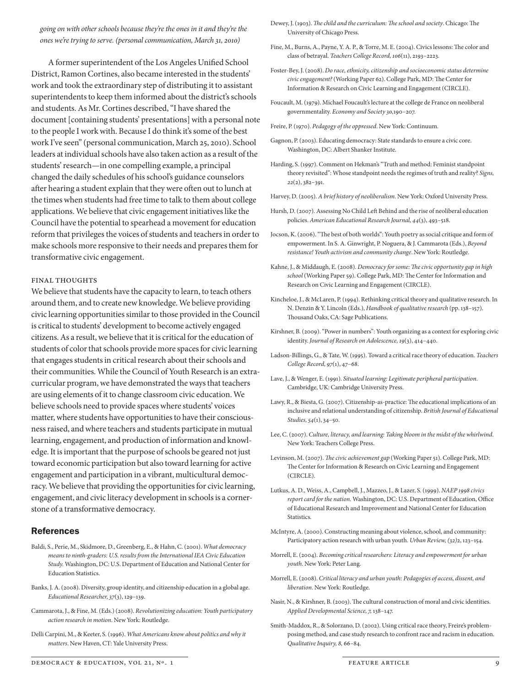*going on with other schools because they're the ones in it and they're the ones we're trying to serve. (personal communication, March 31, 2010)*

A former superintendent of the Los Angeles Unified School District, Ramon Cortines, also became interested in the students' work and took the extraordinary step of distributing it to assistant superintendents to keep them informed about the district's schools and students. As Mr. Cortines described, "I have shared the document [containing students' presentations] with a personal note to the people I work with. Because I do think it's some of the best work I've seen" (personal communication, March 25, 2010). School leaders at individual schools have also taken action as a result of the students' research—in one compelling example, a principal changed the daily schedules of his school's guidance counselors after hearing a student explain that they were often out to lunch at the times when students had free time to talk to them about college applications. We believe that civic engagement initiatives like the Council have the potential to spearhead a movement for education reform that privileges the voices of students and teachers in order to make schools more responsive to their needs and prepares them for transformative civic engagement.

#### Final Thoughts

We believe that students have the capacity to learn, to teach others around them, and to create new knowledge. We believe providing civic learning opportunities similar to those provided in the Council is critical to students' development to become actively engaged citizens. As a result, we believe that it is critical for the education of students of color that schools provide more spaces for civic learning that engages students in critical research about their schools and their communities. While the Council of Youth Research is an extracurricular program, we have demonstrated the ways that teachers are using elements of it to change classroom civic education. We believe schools need to provide spaces where students' voices matter, where students have opportunities to have their consciousness raised, and where teachers and students participate in mutual learning, engagement, and production of information and knowledge. It is important that the purpose of schools be geared not just toward economic participation but also toward learning for active engagement and participation in a vibrant, multicultural democracy. We believe that providing the opportunities for civic learning, engagement, and civic literacy development in schools is a cornerstone of a transformative democracy.

#### References

- Baldi, S., Perie, M., Skidmore, D., Greenberg, E., & Hahn, C. (2001). *What democracy means to ninth-graders: U.S. results from the International IEA Civic Education Study.* Washington, DC: U.S. Department of Education and National Center for Education Statistics.
- Banks, J. A. (2008). Diversity, group identity, and citizenship education in a global age. *Educational Researcher, 37*(3), 129–139.
- Cammarota, J., & Fine, M. (Eds.) (2008). *Revolutionizing education: Youth participatory action research in motion*. New York: Routledge.
- Delli Carpini, M., & Keeter, S. (1996). *What Americans know about politics and why it matters*. New Haven, CT: Yale University Press.

Dewey, J. (1903). *The child and the curriculum: The school and society*. Chicago: The University of Chicago Press.

- Fine, M., Burns, A., Payne, Y. A. P., & Torre, M. E. (2004). Civics lessons: The color and class of betrayal. *Teachers College Record, 106*(11), 2193–2223.
- Foster-Bey, J. (2008). *Do race, ethnicity, citizenship and socioeconomic status determine civic engagement?* (Working Paper 62). College Park, MD: The Center for Information & Research on Civic Learning and Engagement (CIRCLE).
- Foucault, M. (1979). Michael Foucault's lecture at the college de France on neoliberal governmentality. *Economy and Society 30,*190–207.
- Freire, P. (1970). *Pedagogy of the oppressed*. New York: Continuum.
- Gagnon, P. (2003). Educating democracy: State standards to ensure a civic core. Washington, DC: Albert Shanker Institute.
- Harding, S. (1997). Comment on Hekman's "Truth and method: Feminist standpoint theory revisited": Whose standpoint needs the regimes of truth and reality? *Signs, 22*(2), 382–391.
- Harvey, D. (2005). *A brief history of neoliberalism*. New York: Oxford University Press.
- Hursh, D. (2007). Assessing No Child Left Behind and the rise of neoliberal education policies. *American Educational Research Journal, 44*(3), 493–518.
- Jocson, K. (2006). "The best of both worlds": Youth poetry as social critique and form of empowerment. In S. A. Ginwright, P. Noguera, & J. Cammarota (Eds.), *Beyond resistance! Youth activism and community change*. New York: Routledge.
- Kahne, J., & Middaugh, E. (2008). *Democracy for some: The civic opportunity gap in high school* (Working Paper 59). College Park, MD: The Center for Information and Research on Civic Learning and Engagement (CIRCLE).
- Kincheloe, J., & McLaren, P. (1994). Rethinking critical theory and qualitative research. In N. Denzin & Y. Lincoln (Eds.), *Handbook of qualitative research* (pp. 138–157). Thousand Oaks, CA: Sage Publications.
- Kirshner, B. (2009). "Power in numbers": Youth organizing as a context for exploring civic identity. *Journal of Research on Adolescence, 19*(3), 414–440.
- Ladson-Billings, G., & Tate, W. (1995). Toward a critical race theory of education. *Teachers College Record, 97*(1), 47–68.
- Lave, J., & Wenger, E. (1991). *Situated learning: Legitimate peripheral participation*. Cambridge, UK: Cambridge University Press.
- Lawy, R., & Biesta, G. (2007). Citizenship-as-practice: The educational implications of an inclusive and relational understanding of citizenship. *British Journal of Educational Studies, 54*(1), 34–50.
- Lee, C. (2007). *Culture, literacy, and learning: Taking bloom in the midst of the whirlwind*. New York: Teachers College Press.
- Levinson, M. (2007). *The civic achievement gap* (Working Paper 51). College Park, MD: The Center for Information & Research on Civic Learning and Engagement (CIRCLE).
- Lutkus, A. D., Weiss, A., Campbell, J., Mazzeo, J., & Lazer, S. (1999). *NAEP 1998 civics report card for the nation.* Washington, DC: U.S. Department of Education, Office of Educational Research and Improvement and National Center for Education Statistics.
- McIntyre, A. (2000). Constructing meaning about violence, school, and community: Participatory action research with urban youth. *Urban Review, (32)*2, 123–154.
- Morrell, E. (2004). *Becoming critical researchers: Literacy and empowerment for urban youth*. New York: Peter Lang.
- Morrell, E. (2008). *Critical literacy and urban youth: Pedagogies of access, dissent, and liberation*. New York: Routledge.
- Nasir, N., & Kirshner, B. (2003). The cultural construction of moral and civic identities. *Applied Developmental Science, 7,* 138–147.
- Smith-Maddox, R., & Solorzano, D. (2002). Using critical race theory, Freire's problemposing method, and case study research to confront race and racism in education. *Qualitative Inquiry, 8,* 66–84.